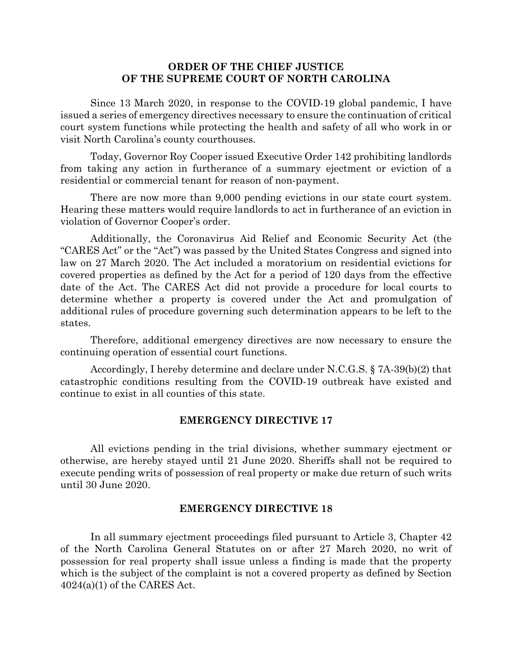## **ORDER OF THE CHIEF JUSTICE OF THE SUPREME COURT OF NORTH CAROLINA**

Since 13 March 2020, in response to the COVID-19 global pandemic, I have issued a series of emergency directives necessary to ensure the continuation of critical court system functions while protecting the health and safety of all who work in or visit North Carolina's county courthouses.

Today, Governor Roy Cooper issued Executive Order 142 prohibiting landlords from taking any action in furtherance of a summary ejectment or eviction of a residential or commercial tenant for reason of non-payment.

There are now more than 9,000 pending evictions in our state court system. Hearing these matters would require landlords to act in furtherance of an eviction in violation of Governor Cooper's order.

Additionally, the Coronavirus Aid Relief and Economic Security Act (the "CARES Act" or the "Act") was passed by the United States Congress and signed into law on 27 March 2020. The Act included a moratorium on residential evictions for covered properties as defined by the Act for a period of 120 days from the effective date of the Act. The CARES Act did not provide a procedure for local courts to determine whether a property is covered under the Act and promulgation of additional rules of procedure governing such determination appears to be left to the states.

Therefore, additional emergency directives are now necessary to ensure the continuing operation of essential court functions.

Accordingly, I hereby determine and declare under N.C.G.S. § 7A-39(b)(2) that catastrophic conditions resulting from the COVID-19 outbreak have existed and continue to exist in all counties of this state.

## **EMERGENCY DIRECTIVE 17**

All evictions pending in the trial divisions, whether summary ejectment or otherwise, are hereby stayed until 21 June 2020. Sheriffs shall not be required to execute pending writs of possession of real property or make due return of such writs until 30 June 2020.

## **EMERGENCY DIRECTIVE 18**

In all summary ejectment proceedings filed pursuant to Article 3, Chapter 42 of the North Carolina General Statutes on or after 27 March 2020, no writ of possession for real property shall issue unless a finding is made that the property which is the subject of the complaint is not a covered property as defined by Section  $4024(a)(1)$  of the CARES Act.